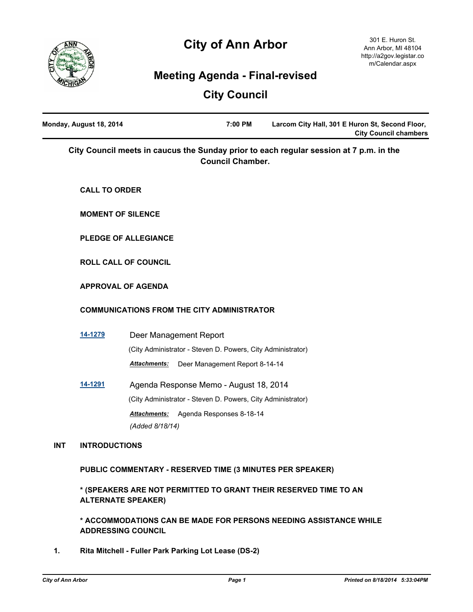

# **City of Ann Arbor**

# **Meeting Agenda - Final-revised**

# **City Council**

|            | Monday, August 18, 2014 | 7:00 PM<br>Larcom City Hall, 301 E Huron St, Second Floor,<br><b>City Council chambers</b>                        |
|------------|-------------------------|-------------------------------------------------------------------------------------------------------------------|
|            |                         | City Council meets in caucus the Sunday prior to each regular session at 7 p.m. in the<br><b>Council Chamber.</b> |
|            | <b>CALL TO ORDER</b>    |                                                                                                                   |
|            |                         | <b>MOMENT OF SILENCE</b>                                                                                          |
|            |                         | <b>PLEDGE OF ALLEGIANCE</b>                                                                                       |
|            |                         | <b>ROLL CALL OF COUNCIL</b>                                                                                       |
|            |                         | <b>APPROVAL OF AGENDA</b>                                                                                         |
|            |                         | <b>COMMUNICATIONS FROM THE CITY ADMINISTRATOR</b>                                                                 |
|            | <u>14-1279</u>          | Deer Management Report                                                                                            |
|            |                         | (City Administrator - Steven D. Powers, City Administrator)                                                       |
|            |                         | <b>Attachments:</b><br>Deer Management Report 8-14-14                                                             |
|            | <u>14-1291</u>          | Agenda Response Memo - August 18, 2014                                                                            |
|            |                         | (City Administrator - Steven D. Powers, City Administrator)                                                       |
|            |                         | Agenda Responses 8-18-14<br><b>Attachments:</b>                                                                   |
|            |                         | (Added 8/18/14)                                                                                                   |
| <b>INT</b> | <b>INTRODUCTIONS</b>    |                                                                                                                   |
|            |                         | PUBLIC COMMENTARY - RESERVED TIME (3 MINUTES PER SPEAKER)                                                         |
|            |                         | * (SPEAKERS ARE NOT PERMITTED TO GRANT THEIR RESERVED TIME TO AN<br><b>ALTERNATE SPEAKER)</b>                     |
|            |                         | * ACCOMMODATIONS CAN BE MADE FOR PERSONS NEEDING ASSISTANCE WHILE<br><b>ADDRESSING COUNCIL</b>                    |

**1. Rita Mitchell - Fuller Park Parking Lot Lease (DS-2)**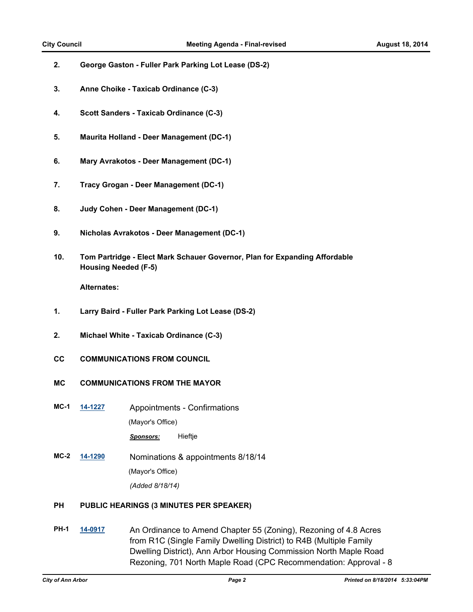- **2. George Gaston Fuller Park Parking Lot Lease (DS-2)**
- **3. Anne Choike Taxicab Ordinance (C-3)**
- **4. Scott Sanders Taxicab Ordinance (C-3)**
- **5. Maurita Holland Deer Management (DC-1)**
- **6. Mary Avrakotos Deer Management (DC-1)**
- **7. Tracy Grogan Deer Management (DC-1)**
- **8. Judy Cohen Deer Management (DC-1)**
- **9. Nicholas Avrakotos Deer Management (DC-1)**
- **10. Tom Partridge Elect Mark Schauer Governor, Plan for Expanding Affordable Housing Needed (F-5)**

**Alternates:**

- **1. Larry Baird Fuller Park Parking Lot Lease (DS-2)**
- **2. Michael White Taxicab Ordinance (C-3)**
- **CC COMMUNICATIONS FROM COUNCIL**
- **MC COMMUNICATIONS FROM THE MAYOR**
- **MC-1 [14-1227](http://a2gov.legistar.com/gateway.aspx?M=L&ID=12704)** Appointments Confirmations (Mayor's Office) *Sponsors:* Hieftje
- **MC-2 [14-1290](http://a2gov.legistar.com/gateway.aspx?M=L&ID=12757)** Nominations & appointments 8/18/14 (Mayor's Office) *(Added 8/18/14)*

#### **PH PUBLIC HEARINGS (3 MINUTES PER SPEAKER)**

**PH-1 [14-0917](http://a2gov.legistar.com/gateway.aspx?M=L&ID=12406)** An Ordinance to Amend Chapter 55 (Zoning), Rezoning of 4.8 Acres from R1C (Single Family Dwelling District) to R4B (Multiple Family Dwelling District), Ann Arbor Housing Commission North Maple Road Rezoning, 701 North Maple Road (CPC Recommendation: Approval - 8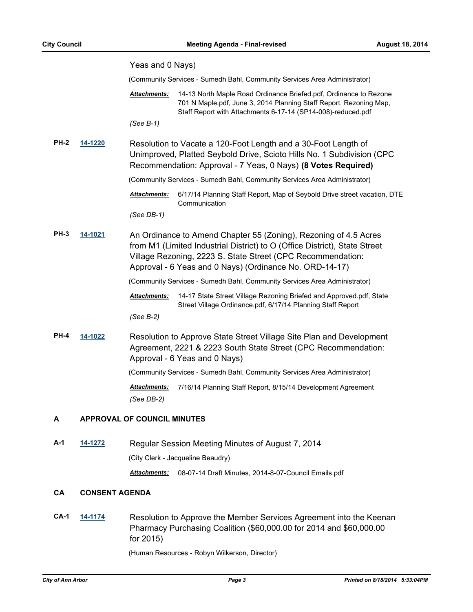|             |                | Yeas and 0 Nays)                   |                                                                                                                                                                                                                                                                          |
|-------------|----------------|------------------------------------|--------------------------------------------------------------------------------------------------------------------------------------------------------------------------------------------------------------------------------------------------------------------------|
|             |                |                                    | (Community Services - Sumedh Bahl, Community Services Area Administrator)                                                                                                                                                                                                |
|             |                | <b>Attachments:</b>                | 14-13 North Maple Road Ordinance Briefed.pdf, Ordinance to Rezone<br>701 N Maple.pdf, June 3, 2014 Planning Staff Report, Rezoning Map,<br>Staff Report with Attachments 6-17-14 (SP14-008)-reduced.pdf                                                                  |
|             |                | (See B-1)                          |                                                                                                                                                                                                                                                                          |
| <b>PH-2</b> | <u>14-1220</u> |                                    | Resolution to Vacate a 120-Foot Length and a 30-Foot Length of<br>Unimproved, Platted Seybold Drive, Scioto Hills No. 1 Subdivision (CPC<br>Recommendation: Approval - 7 Yeas, 0 Nays) (8 Votes Required)                                                                |
|             |                |                                    | (Community Services - Sumedh Bahl, Community Services Area Administrator)                                                                                                                                                                                                |
|             |                | <b>Attachments:</b>                | 6/17/14 Planning Staff Report, Map of Seybold Drive street vacation, DTE<br>Communication                                                                                                                                                                                |
|             |                | (See DB-1)                         |                                                                                                                                                                                                                                                                          |
| PH-3        | <u>14-1021</u> |                                    | An Ordinance to Amend Chapter 55 (Zoning), Rezoning of 4.5 Acres<br>from M1 (Limited Industrial District) to O (Office District), State Street<br>Village Rezoning, 2223 S. State Street (CPC Recommendation:<br>Approval - 6 Yeas and 0 Nays) (Ordinance No. ORD-14-17) |
|             |                |                                    | (Community Services - Sumedh Bahl, Community Services Area Administrator)                                                                                                                                                                                                |
|             |                | <u> Attachments:</u><br>(See B-2)  | 14-17 State Street Village Rezoning Briefed and Approved.pdf, State<br>Street Village Ordinance.pdf, 6/17/14 Planning Staff Report                                                                                                                                       |
| <b>PH-4</b> | 14-1022        |                                    | Resolution to Approve State Street Village Site Plan and Development<br>Agreement, 2221 & 2223 South State Street (CPC Recommendation:<br>Approval - 6 Yeas and 0 Nays)                                                                                                  |
|             |                |                                    | (Community Services - Sumedh Bahl, Community Services Area Administrator)                                                                                                                                                                                                |
|             |                | <b>Attachments:</b><br>(See DB-2)  | 7/16/14 Planning Staff Report, 8/15/14 Development Agreement                                                                                                                                                                                                             |
| А           |                | <b>APPROVAL OF COUNCIL MINUTES</b> |                                                                                                                                                                                                                                                                          |
| A-1         | <u>14-1272</u> |                                    | Regular Session Meeting Minutes of August 7, 2014                                                                                                                                                                                                                        |
|             |                |                                    | (City Clerk - Jacqueline Beaudry)                                                                                                                                                                                                                                        |

*Attachments:* 08-07-14 Draft Minutes, 2014-8-07-Council Emails.pdf

#### **CA CONSENT AGENDA**

**CA-1 [14-1174](http://a2gov.legistar.com/gateway.aspx?M=L&ID=12651)** Resolution to Approve the Member Services Agreement into the Keenan Pharmacy Purchasing Coalition (\$60,000.00 for 2014 and \$60,000.00 for 2015)

(Human Resources - Robyn Wilkerson, Director)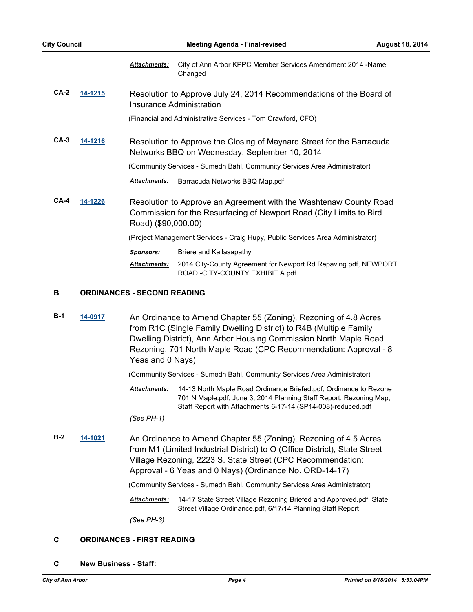|             |         | <b>Attachments:</b> | City of Ann Arbor KPPC Member Services Amendment 2014 - Name<br>Changed                                                                  |
|-------------|---------|---------------------|------------------------------------------------------------------------------------------------------------------------------------------|
| CA-2        | 14-1215 |                     | Resolution to Approve July 24, 2014 Recommendations of the Board of<br>Insurance Administration                                          |
|             |         |                     | (Financial and Administrative Services - Tom Crawford, CFO)                                                                              |
| CA-3        | 14-1216 |                     | Resolution to Approve the Closing of Maynard Street for the Barracuda<br>Networks BBQ on Wednesday, September 10, 2014                   |
|             |         |                     | (Community Services - Sumedh Bahl, Community Services Area Administrator)                                                                |
|             |         | <b>Attachments:</b> | Barracuda Networks BBQ Map.pdf                                                                                                           |
| <b>CA-4</b> | 14-1226 | Road) (\$90,000.00) | Resolution to Approve an Agreement with the Washtenaw County Road<br>Commission for the Resurfacing of Newport Road (City Limits to Bird |
|             |         |                     | (Project Management Services - Craig Hupy, Public Services Area Administrator)                                                           |
|             |         | <b>Sponsors:</b>    | Briere and Kailasapathy                                                                                                                  |
|             |         | <b>Attachments:</b> | 2014 City-County Agreement for Newport Rd Repaving.pdf, NEWPORT<br>ROAD - CITY-COUNTY EXHIBIT A.pdf                                      |
|             |         |                     |                                                                                                                                          |

#### **B ORDINANCES - SECOND READING**

**B-1 [14-0917](http://a2gov.legistar.com/gateway.aspx?M=L&ID=12406)** An Ordinance to Amend Chapter 55 (Zoning), Rezoning of 4.8 Acres from R1C (Single Family Dwelling District) to R4B (Multiple Family Dwelling District), Ann Arbor Housing Commission North Maple Road Rezoning, 701 North Maple Road (CPC Recommendation: Approval - 8 Yeas and 0 Nays)

(Community Services - Sumedh Bahl, Community Services Area Administrator)

14-13 North Maple Road Ordinance Briefed.pdf, Ordinance to Rezone 701 N Maple.pdf, June 3, 2014 Planning Staff Report, Rezoning Map, Staff Report with Attachments 6-17-14 (SP14-008)-reduced.pdf *Attachments:*

*(See PH-1)*

**B-2 [14-1021](http://a2gov.legistar.com/gateway.aspx?M=L&ID=12509)** An Ordinance to Amend Chapter 55 (Zoning), Rezoning of 4.5 Acres from M1 (Limited Industrial District) to O (Office District), State Street Village Rezoning, 2223 S. State Street (CPC Recommendation: Approval - 6 Yeas and 0 Nays) (Ordinance No. ORD-14-17)

(Community Services - Sumedh Bahl, Community Services Area Administrator)

Attachments: 14-17 State Street Village Rezoning Briefed and Approved.pdf, State Street Village Ordinance.pdf, 6/17/14 Planning Staff Report

*(See PH-3)*

#### **C ORDINANCES - FIRST READING**

**C New Business - Staff:**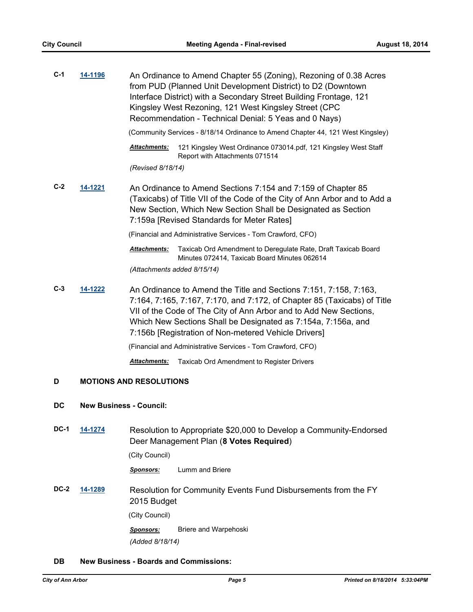| $C-1$ | 14-1196 | An Ordinance to Amend Chapter 55 (Zoning), Rezoning of 0.38 Acres<br>from PUD (Planned Unit Development District) to D2 (Downtown<br>Interface District) with a Secondary Street Building Frontage, 121<br>Kingsley West Rezoning, 121 West Kingsley Street (CPC<br>Recommendation - Technical Denial: 5 Yeas and 0 Nays)<br>(Community Services - 8/18/14 Ordinance to Amend Chapter 44, 121 West Kingsley) |
|-------|---------|--------------------------------------------------------------------------------------------------------------------------------------------------------------------------------------------------------------------------------------------------------------------------------------------------------------------------------------------------------------------------------------------------------------|
|       |         | 121 Kingsley West Ordinance 073014.pdf, 121 Kingsley West Staff<br><b>Attachments:</b>                                                                                                                                                                                                                                                                                                                       |
|       |         | Report with Attachments 071514                                                                                                                                                                                                                                                                                                                                                                               |
|       |         | (Revised 8/18/14)                                                                                                                                                                                                                                                                                                                                                                                            |
| $C-2$ | 14-1221 | An Ordinance to Amend Sections 7:154 and 7:159 of Chapter 85<br>(Taxicabs) of Title VII of the Code of the City of Ann Arbor and to Add a<br>New Section, Which New Section Shall be Designated as Section<br>7:159a [Revised Standards for Meter Rates]                                                                                                                                                     |
|       |         | (Financial and Administrative Services - Tom Crawford, CFO)                                                                                                                                                                                                                                                                                                                                                  |
|       |         | Taxicab Ord Amendment to Deregulate Rate, Draft Taxicab Board<br><b>Attachments:</b><br>Minutes 072414, Taxicab Board Minutes 062614                                                                                                                                                                                                                                                                         |
|       |         | (Attachments added 8/15/14)                                                                                                                                                                                                                                                                                                                                                                                  |
| $C-3$ | 14-1222 | An Ordinance to Amend the Title and Sections 7:151, 7:158, 7:163,<br>7:164, 7:165, 7:167, 7:170, and 7:172, of Chapter 85 (Taxicabs) of Title<br>VII of the Code of The City of Ann Arbor and to Add New Sections,<br>Which New Sections Shall be Designated as 7:154a, 7:156a, and<br>7:156b [Registration of Non-metered Vehicle Drivers]                                                                  |
|       |         | (Financial and Administrative Services - Tom Crawford, CFO)                                                                                                                                                                                                                                                                                                                                                  |
|       |         | Taxicab Ord Amendment to Register Drivers<br>Attachments:                                                                                                                                                                                                                                                                                                                                                    |
| D     |         | <b>MOTIONS AND RESOLUTIONS</b>                                                                                                                                                                                                                                                                                                                                                                               |

#### **DC New Business - Council:**

**DC-1 [14-1274](http://a2gov.legistar.com/gateway.aspx?M=L&ID=12741)** Resolution to Appropriate \$20,000 to Develop a Community-Endorsed Deer Management Plan (**8 Votes Required**)

(City Council)

*Sponsors:* Lumm and Briere

**DC-2 [14-1289](http://a2gov.legistar.com/gateway.aspx?M=L&ID=12756)** Resolution for Community Events Fund Disbursements from the FY 2015 Budget

(City Council)

*Sponsors:* Briere and Warpehoski *(Added 8/18/14)*

#### **DB New Business - Boards and Commissions:**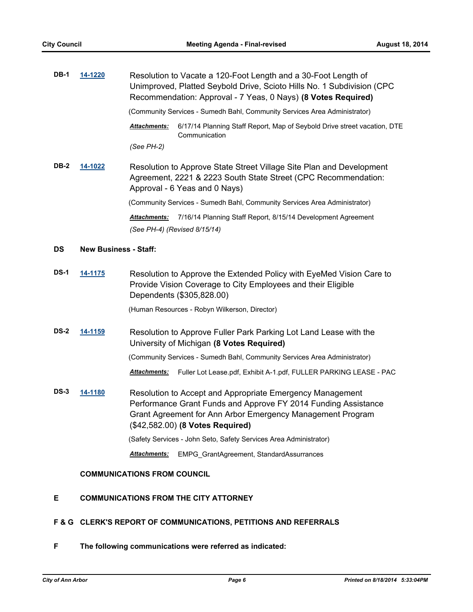| <b>DB-1</b> | 14-1220                      | Resolution to Vacate a 120-Foot Length and a 30-Foot Length of<br>Unimproved, Platted Seybold Drive, Scioto Hills No. 1 Subdivision (CPC<br>Recommendation: Approval - 7 Yeas, 0 Nays) (8 Votes Required)                     |
|-------------|------------------------------|-------------------------------------------------------------------------------------------------------------------------------------------------------------------------------------------------------------------------------|
|             |                              | (Community Services - Sumedh Bahl, Community Services Area Administrator)                                                                                                                                                     |
|             |                              | 6/17/14 Planning Staff Report, Map of Seybold Drive street vacation, DTE<br>Attachments:<br>Communication                                                                                                                     |
|             |                              | (See PH-2)                                                                                                                                                                                                                    |
| <b>DB-2</b> | 14-1022                      | Resolution to Approve State Street Village Site Plan and Development<br>Agreement, 2221 & 2223 South State Street (CPC Recommendation:<br>Approval - 6 Yeas and 0 Nays)                                                       |
|             |                              | (Community Services - Sumedh Bahl, Community Services Area Administrator)                                                                                                                                                     |
|             |                              | 7/16/14 Planning Staff Report, 8/15/14 Development Agreement<br><b>Attachments:</b><br>(See PH-4) (Revised 8/15/14)                                                                                                           |
| <b>DS</b>   | <b>New Business - Staff:</b> |                                                                                                                                                                                                                               |
| <b>DS-1</b> | 14-1175                      | Resolution to Approve the Extended Policy with EyeMed Vision Care to<br>Provide Vision Coverage to City Employees and their Eligible<br>Dependents (\$305,828.00)                                                             |
|             |                              | (Human Resources - Robyn Wilkerson, Director)                                                                                                                                                                                 |
| <b>DS-2</b> | 14-1159                      | Resolution to Approve Fuller Park Parking Lot Land Lease with the<br>University of Michigan (8 Votes Required)                                                                                                                |
|             |                              | (Community Services - Sumedh Bahl, Community Services Area Administrator)                                                                                                                                                     |
|             |                              | Fuller Lot Lease.pdf, Exhibit A-1.pdf, FULLER PARKING LEASE - PAC<br><b>Attachments:</b>                                                                                                                                      |
| DS-3        | 14-1180                      | Resolution to Accept and Appropriate Emergency Management<br>Performance Grant Funds and Approve FY 2014 Funding Assistance<br>Grant Agreement for Ann Arbor Emergency Management Program<br>(\$42,582.00) (8 Votes Required) |
|             |                              | (Safety Services - John Seto, Safety Services Area Administrator)                                                                                                                                                             |
|             |                              | EMPG_GrantAgreement, StandardAssurrances<br>Attachments:                                                                                                                                                                      |
|             |                              | <b>COMMUNICATIONS FROM COUNCIL</b>                                                                                                                                                                                            |

### **E COMMUNICATIONS FROM THE CITY ATTORNEY**

### **F & G CLERK'S REPORT OF COMMUNICATIONS, PETITIONS AND REFERRALS**

**F The following communications were referred as indicated:**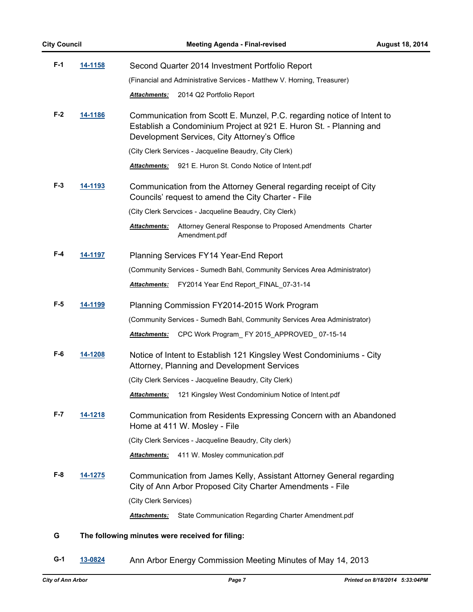| <b>City Council</b> |                | <b>Meeting Agenda - Final-revised</b>                                                                                                                                                        | <b>August 18, 2014</b> |
|---------------------|----------------|----------------------------------------------------------------------------------------------------------------------------------------------------------------------------------------------|------------------------|
| $F-1$               | <u>14-1158</u> | Second Quarter 2014 Investment Portfolio Report                                                                                                                                              |                        |
|                     |                | (Financial and Administrative Services - Matthew V. Horning, Treasurer)                                                                                                                      |                        |
|                     |                | Attachments:<br>2014 Q2 Portfolio Report                                                                                                                                                     |                        |
| $F-2$               | <u>14-1186</u> | Communication from Scott E. Munzel, P.C. regarding notice of Intent to<br>Establish a Condominium Project at 921 E. Huron St. - Planning and<br>Development Services, City Attorney's Office |                        |
|                     |                | (City Clerk Services - Jacqueline Beaudry, City Clerk)                                                                                                                                       |                        |
|                     |                | <b>Attachments:</b><br>921 E. Huron St. Condo Notice of Intent.pdf                                                                                                                           |                        |
| F-3                 | 14-1193        | Communication from the Attorney General regarding receipt of City<br>Councils' request to amend the City Charter - File                                                                      |                        |
|                     |                | (City Clerk Servcices - Jacqueline Beaudry, City Clerk)                                                                                                                                      |                        |
|                     |                | Attachments:<br>Attorney General Response to Proposed Amendments Charter<br>Amendment.pdf                                                                                                    |                        |
| $F-4$               | 14-1197        | Planning Services FY14 Year-End Report                                                                                                                                                       |                        |
|                     |                | (Community Services - Sumedh Bahl, Community Services Area Administrator)                                                                                                                    |                        |
|                     |                | Attachments:<br>FY2014 Year End Report_FINAL_07-31-14                                                                                                                                        |                        |
| $F-5$               | <u>14-1199</u> | Planning Commission FY2014-2015 Work Program                                                                                                                                                 |                        |
|                     |                | (Community Services - Sumedh Bahl, Community Services Area Administrator)                                                                                                                    |                        |
|                     |                | CPC Work Program_FY 2015_APPROVED_07-15-14<br><u> Attachments:</u>                                                                                                                           |                        |
| F-6                 | 14-1208        | Notice of Intent to Establish 121 Kingsley West Condominiums - City<br>Attorney, Planning and Development Services                                                                           |                        |
|                     |                | (City Clerk Services - Jacqueline Beaudry, City Clerk)                                                                                                                                       |                        |
|                     |                | 121 Kingsley West Condominium Notice of Intent.pdf<br><b>Attachments:</b>                                                                                                                    |                        |
| F-7                 | 14-1218        | Communication from Residents Expressing Concern with an Abandoned<br>Home at 411 W. Mosley - File                                                                                            |                        |
|                     |                | (City Clerk Services - Jacqueline Beaudry, City clerk)                                                                                                                                       |                        |
|                     |                | Attachments:<br>411 W. Mosley communication.pdf                                                                                                                                              |                        |
| F-8                 | <u>14-1275</u> | Communication from James Kelly, Assistant Attorney General regarding<br>City of Ann Arbor Proposed City Charter Amendments - File                                                            |                        |
|                     |                | (City Clerk Services)                                                                                                                                                                        |                        |
|                     |                | State Communication Regarding Charter Amendment.pdf<br><u> Attachments:</u>                                                                                                                  |                        |
|                     |                |                                                                                                                                                                                              |                        |

### **G The following minutes were received for filing:**

**G-1 [13-0824](http://a2gov.legistar.com/gateway.aspx?M=L&ID=10826)** Ann Arbor Energy Commission Meeting Minutes of May 14, 2013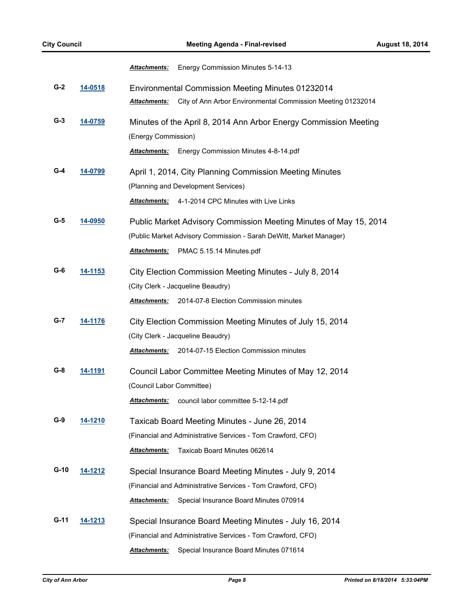|        |                | <u> Attachments:</u><br>Energy Commission Minutes 5-14-13                                                                                                                                  |
|--------|----------------|--------------------------------------------------------------------------------------------------------------------------------------------------------------------------------------------|
| $G-2$  | 14-0518        | Environmental Commission Meeting Minutes 01232014<br>City of Ann Arbor Environmental Commission Meeting 01232014<br><u> Attachments:</u>                                                   |
| $G-3$  | 14-0759        | Minutes of the April 8, 2014 Ann Arbor Energy Commission Meeting<br>(Energy Commission)                                                                                                    |
|        |                | <b>Attachments:</b><br>Energy Commission Minutes 4-8-14.pdf                                                                                                                                |
| G-4    | 14-0799        | April 1, 2014, City Planning Commission Meeting Minutes<br>(Planning and Development Services)                                                                                             |
|        |                | 4-1-2014 CPC Minutes with Live Links<br><b>Attachments:</b>                                                                                                                                |
| G-5    | 14-0950        | Public Market Advisory Commission Meeting Minutes of May 15, 2014<br>(Public Market Advisory Commission - Sarah DeWitt, Market Manager)<br><b>Attachments:</b><br>PMAC 5.15.14 Minutes.pdf |
|        |                |                                                                                                                                                                                            |
| G-6    | <u>14-1153</u> | City Election Commission Meeting Minutes - July 8, 2014                                                                                                                                    |
|        |                | (City Clerk - Jacqueline Beaudry)<br>2014-07-8 Election Commission minutes<br>Attachments:                                                                                                 |
|        |                |                                                                                                                                                                                            |
| G-7    | <u>14-1176</u> | City Election Commission Meeting Minutes of July 15, 2014                                                                                                                                  |
|        |                | (City Clerk - Jacqueline Beaudry)                                                                                                                                                          |
|        |                | 2014-07-15 Election Commission minutes<br>Attachments:                                                                                                                                     |
| G-8    | <u>14-1191</u> | Council Labor Committee Meeting Minutes of May 12, 2014                                                                                                                                    |
|        |                | (Council Labor Committee)                                                                                                                                                                  |
|        |                | <b>Attachments:</b><br>council labor committee 5-12-14.pdf                                                                                                                                 |
| G-9    | <u>14-1210</u> | Taxicab Board Meeting Minutes - June 26, 2014                                                                                                                                              |
|        |                | (Financial and Administrative Services - Tom Crawford, CFO)                                                                                                                                |
|        |                | Taxicab Board Minutes 062614<br><b>Attachments:</b>                                                                                                                                        |
| $G-10$ | 14-1212        | Special Insurance Board Meeting Minutes - July 9, 2014                                                                                                                                     |
|        |                | (Financial and Administrative Services - Tom Crawford, CFO)                                                                                                                                |
|        |                | <b>Attachments:</b><br>Special Insurance Board Minutes 070914                                                                                                                              |
| G-11   | 14-1213        | Special Insurance Board Meeting Minutes - July 16, 2014                                                                                                                                    |
|        |                | (Financial and Administrative Services - Tom Crawford, CFO)                                                                                                                                |
|        |                | Attachments:<br>Special Insurance Board Minutes 071614                                                                                                                                     |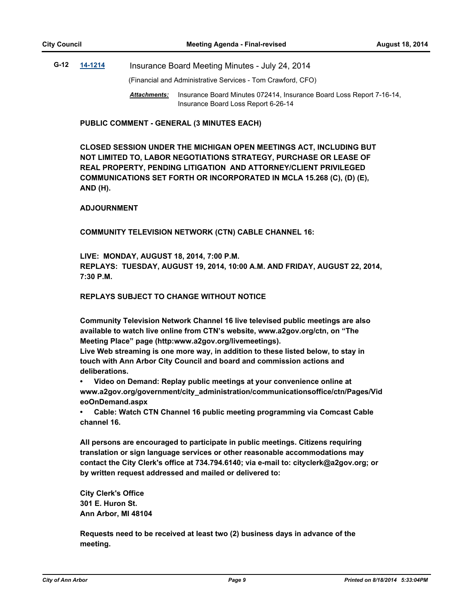## **G-12 [14-1214](http://a2gov.legistar.com/gateway.aspx?M=L&ID=12691)** Insurance Board Meeting Minutes - July 24, 2014

(Financial and Administrative Services - Tom Crawford, CFO)

Attachments: Insurance Board Minutes 072414, Insurance Board Loss Report 7-16-14, Insurance Board Loss Report 6-26-14

**PUBLIC COMMENT - GENERAL (3 MINUTES EACH)**

**CLOSED SESSION UNDER THE MICHIGAN OPEN MEETINGS ACT, INCLUDING BUT NOT LIMITED TO, LABOR NEGOTIATIONS STRATEGY, PURCHASE OR LEASE OF REAL PROPERTY, PENDING LITIGATION AND ATTORNEY/CLIENT PRIVILEGED COMMUNICATIONS SET FORTH OR INCORPORATED IN MCLA 15.268 (C), (D) (E), AND (H).**

#### **ADJOURNMENT**

**COMMUNITY TELEVISION NETWORK (CTN) CABLE CHANNEL 16:**

**LIVE: MONDAY, AUGUST 18, 2014, 7:00 P.M. REPLAYS: TUESDAY, AUGUST 19, 2014, 10:00 A.M. AND FRIDAY, AUGUST 22, 2014, 7:30 P.M.**

#### **REPLAYS SUBJECT TO CHANGE WITHOUT NOTICE**

**Community Television Network Channel 16 live televised public meetings are also available to watch live online from CTN's website, www.a2gov.org/ctn, on "The Meeting Place" page (http:www.a2gov.org/livemeetings).**

**Live Web streaming is one more way, in addition to these listed below, to stay in touch with Ann Arbor City Council and board and commission actions and deliberations.** 

**• Video on Demand: Replay public meetings at your convenience online at www.a2gov.org/government/city\_administration/communicationsoffice/ctn/Pages/Vid eoOnDemand.aspx**

**• Cable: Watch CTN Channel 16 public meeting programming via Comcast Cable channel 16.**

**All persons are encouraged to participate in public meetings. Citizens requiring translation or sign language services or other reasonable accommodations may contact the City Clerk's office at 734.794.6140; via e-mail to: cityclerk@a2gov.org; or by written request addressed and mailed or delivered to:** 

**City Clerk's Office 301 E. Huron St. Ann Arbor, MI 48104**

**Requests need to be received at least two (2) business days in advance of the meeting.**